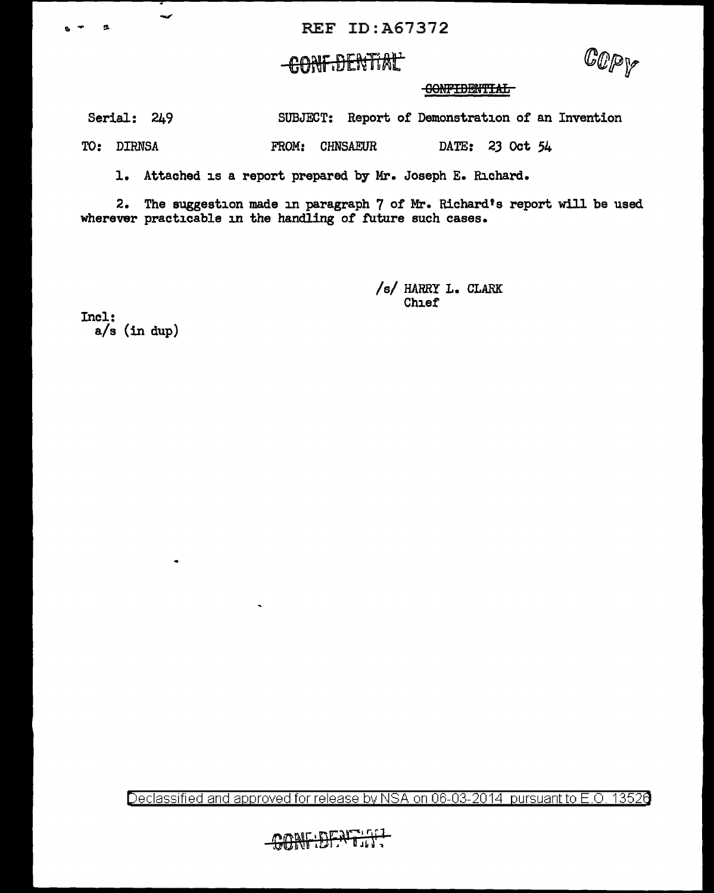## <del>conf.dential'</del>

 $\mathbb{C}$ pp

GONFIDENTIAL

Serial: 249 SUBJECT: Report of Demonstration of an Invention

TO: DIRNSA FROM: CHNSAEUR DATE: 23 Oct 54

1. Attached is a report prepared by Mr. Joseph E. Richard.

2. The suggestion made in paragraph 7 of Mr. Richard's report will be used wherever practicable in the handling of future such cases.

> /s/ HARRY L. CLARK **Chief**

Incl: a/s (in dup)

-

Declassified and approved for release by NSA on 06-03-2014 pursuant to E.O. 13526

1<del>5:DENT1.17</del>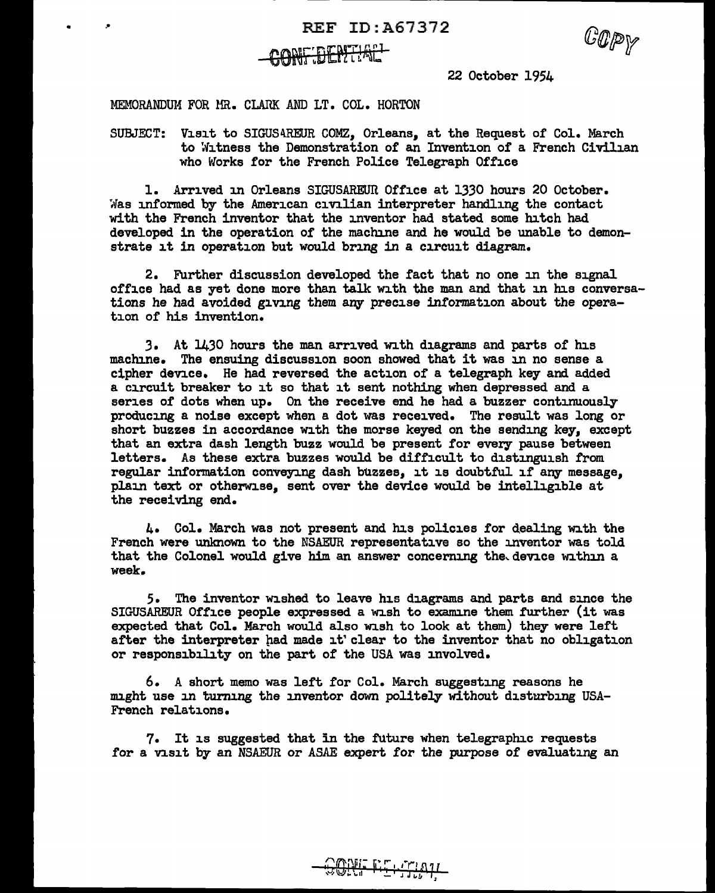$REF ID: A67372$ 



10 P V

22 October 1954

MEMORANDUM FOR MR. CLARK AND LT. COL. HORTON

SUBJECT: Visit to SIGUS4REUR COMZ. Orleans. at the Request of Col. March to Witness the Demonstration of an Invention of a French Civilian who Works for the French Police Telegraph Office

l. Arrived in Orleans SIGUSAREUil Office at 1330 hours 20 October. Was informed by the American civilian interpreter handling the contact with the French inventor that the inventor had stated some hitch had developed in the operation of the machine and he would be unable to demonstrate it in operation but would bring in a circuit diagram.

2. Further discussion developed the fact that no one in the signal office had as yet done more than talk with the man and that in his conversations he had avoided giving them any precise information about the operation or his invention.

*3.* At 1430 hours the man arrived with diagrams and parts of his machine. The ensuing discussion soon showed that it was in no sense a cipher device. He had reversed the action of a telegraph key and added a circuit breaker to it so that it sent nothing when depressed and a series of dots when up. On the receive end he had a buzzer continuously producing a noise except when a dot was received. The result was long or short buzzes in accordance with the morse keyed on the sending key, except that an extra dash length buzz would be present for every pause between letters. As these extra buzzes would be difficult to distinguish from regular infonnation conveying dash buzzes, it is doubtful if any message, plain text or otherwise, sent over the device would be intelligible at the receiving end.

4. Col. March was not present and his policies for dealing with the French were unknown to the NSAEUR representative so the inventor was told that the Colonel would give him an answer concerning the device within a week.

5. The inventor wished to leave his diagrams and parts and since the SIGUSAREUR Office people expressed a wish to examine them further (it was expected that Col. March would also wish to look at them) they were left after the interpreter had made it' clear to the inventor that no obligation or responsibility on the part of the USA was involved.

 $6. A$  short memo was left for Col. March suggesting reasons he might use in turning the inventor down politely without disturbing USA-French relations.

7. It is suggested that in the future when telegraphic requests for a visit by an NSAEUR or ASAE expert for the purpose of evaluating an

<u> ONF EELINA</u>